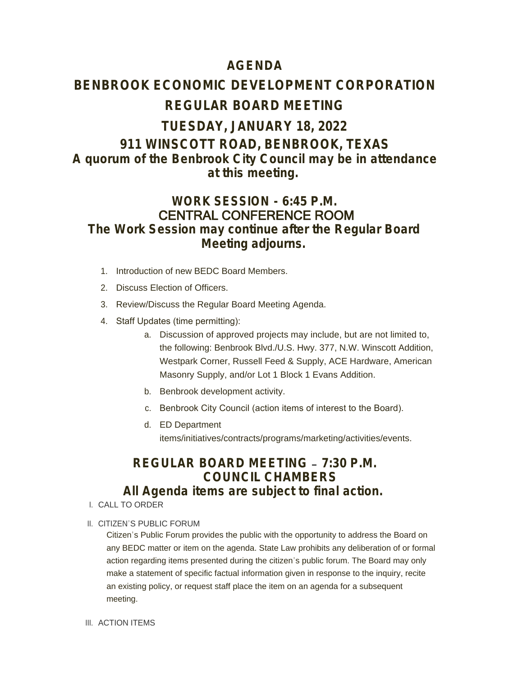## **AGENDA**

# **BENBROOK ECONOMIC DEVELOPMENT CORPORATION REGULAR BOARD MEETING**

## **TUESDAY, JANUARY 18, 2022 911 WINSCOTT ROAD, BENBROOK, TEXAS** *A quorum of the Benbrook City Council may be in attendance at this meeting.*

## **WORK SESSION - 6:45 P.M.** CENTRAL CONFERENCE ROOM *The Work Session may continue after the Regular Board Meeting adjourns.*

- 1. Introduction of new BEDC Board Members.
- 2. Discuss Election of Officers.
- 3. Review/Discuss the Regular Board Meeting Agenda.
- 4. Staff Updates (time permitting):
	- a. Discussion of approved projects may include, but are not limited to, the following: Benbrook Blvd./U.S. Hwy. 377, N.W. Winscott Addition, Westpark Corner, Russell Feed & Supply, ACE Hardware, American Masonry Supply, and/or Lot 1 Block 1 Evans Addition.
	- b. Benbrook development activity.
	- c. Benbrook City Council (action items of interest to the Board).
	- d. ED Department items/initiatives/contracts/programs/marketing/activities/events.

# **REGULAR BOARD MEETING – 7:30 P.M. COUNCIL CHAMBERS**

## *All Agenda items are subject to final action.*

- CALL TO ORDER I.
- II. CITIZEN'S PUBLIC FORUM

Citizen's Public Forum provides the public with the opportunity to address the Board on any BEDC matter or item on the agenda. State Law prohibits any deliberation of or formal action regarding items presented during the citizen's public forum. The Board may only make a statement of specific factual information given in response to the inquiry, recite an existing policy, or request staff place the item on an agenda for a subsequent meeting.

III. ACTION ITEMS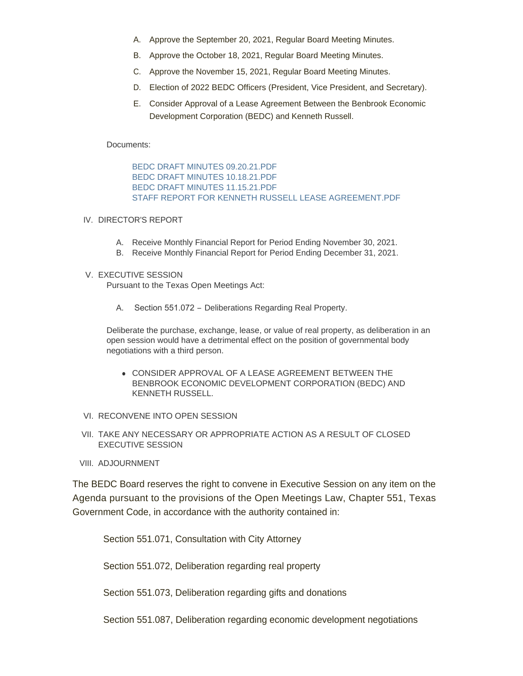- A. Approve the September 20, 2021, Regular Board Meeting Minutes.
- B. Approve the October 18, 2021, Regular Board Meeting Minutes.
- C. Approve the November 15, 2021, Regular Board Meeting Minutes.
- D. Election of 2022 BEDC Officers (President, Vice President, and Secretary).
- E. Consider Approval of a Lease Agreement Between the Benbrook Economic Development Corporation (BEDC) and Kenneth Russell.

Documents:

BEDC DRAFT MINUTES 09.20.21.PDF BEDC DRAFT MINUTES 10.18.21.PDF BEDC DRAFT MINUTES 11.15.21.PDF STAFF REPORT FOR KENNETH RUSSELL LEASE AGREEMENT.PDF

### IV. DIRECTOR'S REPORT

- A. Receive Monthly Financial Report for Period Ending November 30, 2021.
- B. Receive Monthly Financial Report for Period Ending December 31, 2021.

### V. EXECUTIVE SESSION

Pursuant to the Texas Open Meetings Act:

A. Section 551.072 – Deliberations Regarding Real Property.

Deliberate the purchase, exchange, lease, or value of real property, as deliberation in an open session would have a detrimental effect on the position of governmental body negotiations with a third person.

- **CONSIDER APPROVAL OF A LEASE AGREEMENT BETWEEN THE** BENBROOK ECONOMIC DEVELOPMENT CORPORATION (BEDC) AND KENNETH RUSSELL.
- VI. RECONVENE INTO OPEN SESSION
- VII. TAKE ANY NECESSARY OR APPROPRIATE ACTION AS A RESULT OF CLOSED EXECUTIVE SESSION
- VIII. ADJOURNMENT

The BEDC Board reserves the right to convene in Executive Session on any item on the Agenda pursuant to the provisions of the Open Meetings Law, Chapter 551, Texas Government Code, in accordance with the authority contained in:

Section 551.071, Consultation with City Attorney

Section 551.072, Deliberation regarding real property

Section 551.073, Deliberation regarding gifts and donations

Section 551.087, Deliberation regarding economic development negotiations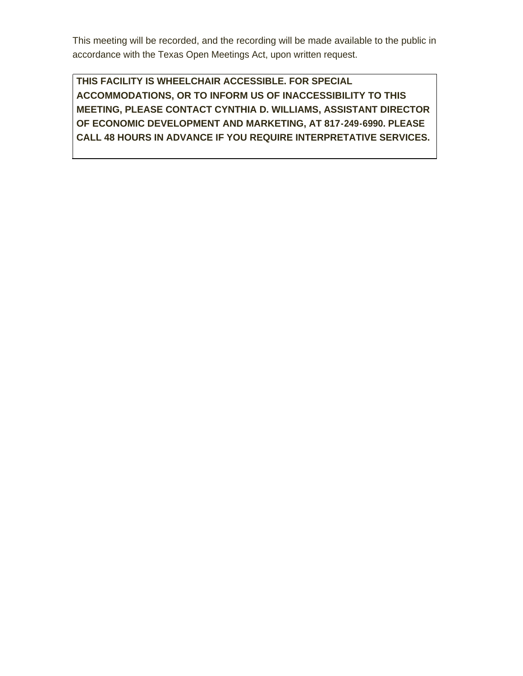This meeting will be recorded, and the recording will be made available to the public in accordance with the Texas Open Meetings Act, upon written request.

**THIS FACILITY IS WHEELCHAIR ACCESSIBLE. FOR SPECIAL ACCOMMODATIONS, OR TO INFORM US OF INACCESSIBILITY TO THIS MEETING, PLEASE CONTACT CYNTHIA D. WILLIAMS, ASSISTANT DIRECTOR OF ECONOMIC DEVELOPMENT AND MARKETING, AT 817-249-6990. PLEASE CALL 48 HOURS IN ADVANCE IF YOU REQUIRE INTERPRETATIVE SERVICES.**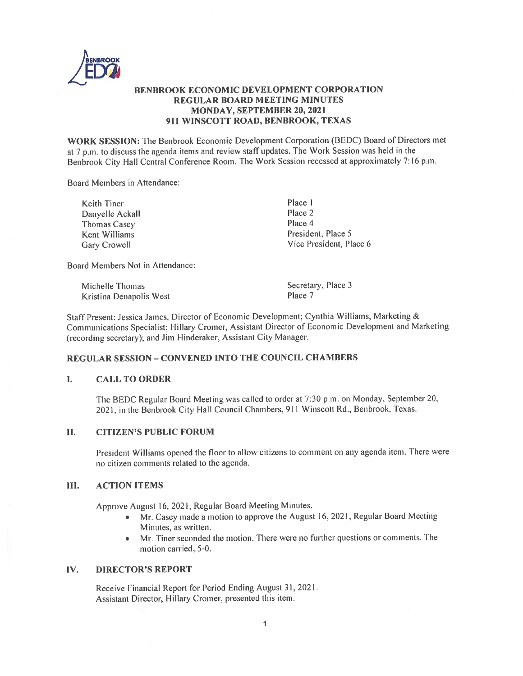

### **BENBROOK ECONOMIC DEVELOPMENT CORPORATION REGULAR BOARD MEETING MINUTES MONDAY. SEPTEMBER 20, 2021** 911 WINSCOTT ROAD, BENBROOK, TEXAS

WORK SESSION: The Benbrook Economic Development Corporation (BEDC) Board of Directors met at 7 p.m. to discuss the agenda items and review staff updates. The Work Session was held in the Benbrook City Hall Central Conference Room. The Work Session recessed at approximately 7:16 p.m.

Board Members in Attendance:

| Keith Tiner     | Place 1                 |
|-----------------|-------------------------|
| Danyelle Ackall | Place 2                 |
| Thomas Casey    | Place 4                 |
| Kent Williams   | President, Place 5      |
| Gary Crowell    | Vice President, Place 6 |
|                 |                         |

Board Members Not in Attendance:

| Michelle Thomas         | Secretary, Place |
|-------------------------|------------------|
| Kristina Denapolis West | Place 7          |

Staff Present: Jessica James, Director of Economic Development; Cynthia Williams, Marketing & Communications Specialist; Hillary Cromer, Assistant Director of Economic Development and Marketing (recording secretary); and Jim Hinderaker, Assistant City Manager.

 $\overline{3}$ 

### **REGULAR SESSION - CONVENED INTO THE COUNCIL CHAMBERS**

#### L **CALL TO ORDER**

The BEDC Regular Board Meeting was called to order at 7:30 p.m. on Monday, September 20, 2021, in the Benbrook City Hall Council Chambers, 911 Winscott Rd., Benbrook, Texas.

#### П. **CITIZEN'S PUBLIC FORUM**

President Williams opened the floor to allow citizens to comment on any agenda item. There were no citizen comments related to the agenda.

#### HI. **ACTION ITEMS**

Approve August 16, 2021, Regular Board Meeting Minutes.

- Mr. Casey made a motion to approve the August 16, 2021, Regular Board Meeting  $\bullet$ Minutes, as written.
- Mr. Tiner seconded the motion. There were no further questions or comments. The motion carried, 5-0.

#### **DIRECTOR'S REPORT** IV.

Receive Financial Report for Period Ending August 31, 2021. Assistant Director, Hillary Cromer, presented this item.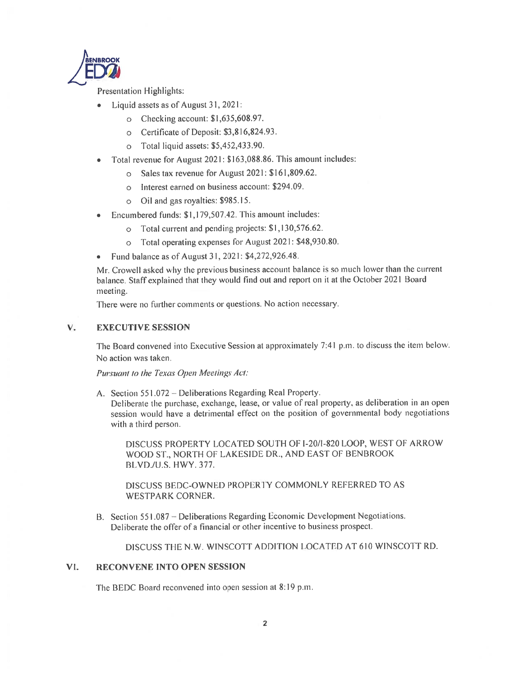

**Presentation Highlights:** 

- Liquid assets as of August 31, 2021:  $\bullet$ 
	- o Checking account:  $$1,635,608.97$ .
	- o Certificate of Deposit: \$3,816,824.93.
	- Total liquid assets: \$5,452,433.90.  $\circ$
- Total revenue for August 2021: \$163,088.86. This amount includes:
	- Sales tax revenue for August 2021: \$161,809.62.  $\circ$
	- o Interest earned on business account: \$294.09.
	- o Oil and gas royalties: \$985.15.
- Encumbered funds: \$1,179,507.42. This amount includes:
	- o Total current and pending projects: \$1,130,576.62.
	- Total operating expenses for August 2021: \$48,930.80.  $\circ$
- Fund balance as of August 31, 2021: \$4,272,926.48.  $\bullet$

Mr. Crowell asked why the previous business account balance is so much lower than the current balance. Staff explained that they would find out and report on it at the October 2021 Board meeting.

There were no further comments or questions. No action necessary.

#### V. **EXECUTIVE SESSION**

The Board convened into Executive Session at approximately 7:41 p.m. to discuss the item below. No action was taken.

Pursuant to the Texas Open Meetings Act:

A. Section 551.072 – Deliberations Regarding Real Property.

Deliberate the purchase, exchange, lease, or value of real property, as deliberation in an open session would have a detrimental effect on the position of governmental body negotiations with a third person.

DISCUSS PROPERTY LOCATED SOUTH OF I-20/1-820 LOOP, WEST OF ARROW WOOD ST., NORTH OF LAKESIDE DR., AND EAST OF BENBROOK BLVD./U.S. HWY. 377.

DISCUSS BEDC-OWNED PROPERTY COMMONLY REFERRED TO AS WESTPARK CORNER.

B. Section 551.087 - Deliberations Regarding Economic Development Negotiations. Deliberate the offer of a financial or other incentive to business prospect.

DISCUSS THE N.W. WINSCOTT ADDITION LOCATED AT 610 WINSCOTT RD.

#### VI. RECONVENE INTO OPEN SESSION

The BEDC Board reconvened into open session at 8:19 p.m.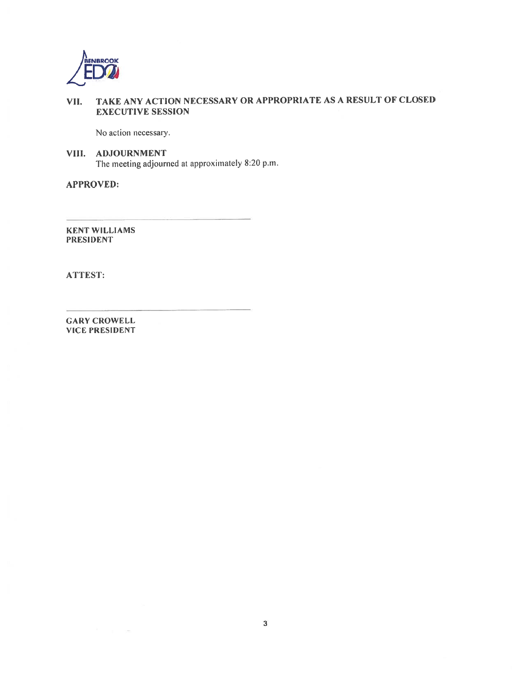

#### TAKE ANY ACTION NECESSARY OR APPROPRIATE AS A RESULT OF CLOSED VII. **EXECUTIVE SESSION**

No action necessary.

VIII. ADJOURNMENT The meeting adjourned at approximately 8:20 p.m.

**APPROVED:** 

**KENT WILLIAMS PRESIDENT** 

ATTEST:

**GARY CROWELL VICE PRESIDENT**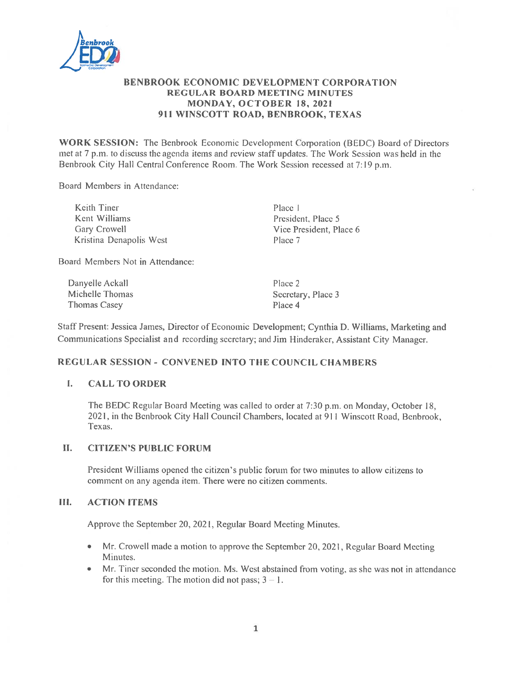

### **BENBROOK ECONOMIC DEVELOPMENT CORPORATION REGULAR BOARD MEETING MINUTES** MONDAY, OCTOBER 18, 2021 911 WINSCOTT ROAD, BENBROOK, TEXAS

**WORK SESSION:** The Benbrook Economic Development Corporation (BEDC) Board of Directors met at 7 p.m. to discuss the agenda items and review staff updates. The Work Session was held in the Benbrook City Hall Central Conference Room. The Work Session recessed at 7:19 p.m.

Board Members in Attendance:

Keith Tiner Kent Williams Gary Crowell Kristina Denapolis West Place 1 President, Place 5 Vice President, Place 6 Place 7

Board Members Not in Attendance:

Danyelle Ackall Michelle Thomas Thomas Casey

Place 2 Secretary, Place 3 Place 4

Staff Present: Jessica James, Director of Economic Development; Cynthia D. Williams, Marketing and Communications Specialist and recording secretary; and Jim Hinderaker, Assistant City Manager.

### **REGULAR SESSION - CONVENED INTO THE COUNCIL CHAMBERS**

#### $\mathbf{I}$ . **CALL TO ORDER**

The BEDC Regular Board Meeting was called to order at 7:30 p.m. on Monday, October 18, 2021, in the Benbrook City Hall Council Chambers, located at 911 Winscott Road, Benbrook, Texas.

#### П. **CITIZEN'S PUBLIC FORUM**

President Williams opened the citizen's public forum for two minutes to allow citizens to comment on any agenda item. There were no citizen comments.

#### Ш. **ACTION ITEMS**

Approve the September 20, 2021, Regular Board Meeting Minutes.

- Mr. Crowell made a motion to approve the September 20, 2021, Regular Board Meeting  $\bullet$ Minutes.
- Mr. Tiner seconded the motion. Ms. West abstained from voting, as she was not in attendance  $\bullet$ for this meeting. The motion did not pass;  $3 - 1$ .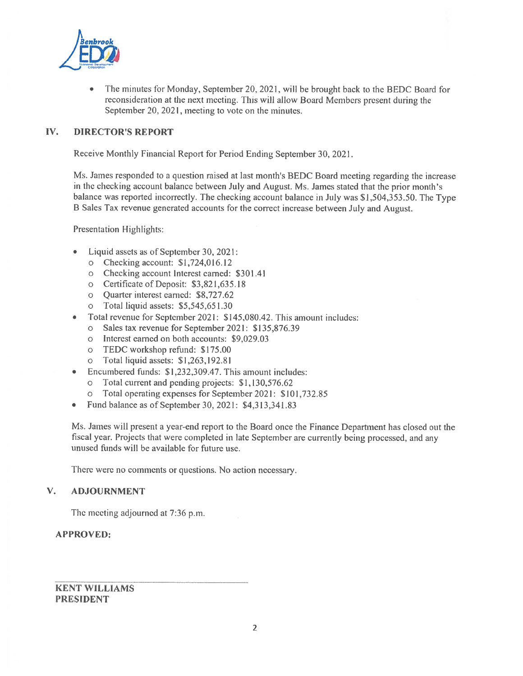

The minutes for Monday, September 20, 2021, will be brought back to the BEDC Board for reconsideration at the next meeting. This will allow Board Members present during the September 20, 2021, meeting to vote on the minutes.

#### IV. **DIRECTOR'S REPORT**

Receive Monthly Financial Report for Period Ending September 30, 2021.

Ms. James responded to a question raised at last month's BEDC Board meeting regarding the increase in the checking account balance between July and August. Ms. James stated that the prior month's balance was reported incorrectly. The checking account balance in July was \$1,504,353.50. The Type B Sales Tax revenue generated accounts for the correct increase between July and August.

**Presentation Highlights:** 

- Liquid assets as of September 30, 2021:  $\bullet$ 
	- o Checking account:  $$1,724,016.12$
	- o Checking account Interest earned: \$301.41
	- o Certificate of Deposit: \$3,821,635.18
	- o Quarter interest earned: \$8,727.62
	- o Total liquid assets: \$5,545,651.30
- Total revenue for September 2021: \$145,080.42. This amount includes:
	- o Sales tax revenue for September 2021: \$135,876.39
	- o Interest earned on both accounts: \$9,029.03
	- o TEDC workshop refund: \$175.00
	- o Total liquid assets: \$1,263,192.81
- Encumbered funds: \$1,232,309.47. This amount includes:
	- o Total current and pending projects: \$1,130,576.62
	- o Total operating expenses for September 2021: \$101,732.85
- Fund balance as of September 30, 2021: \$4,313,341.83

Ms. James will present a year-end report to the Board once the Finance Department has closed out the fiscal year. Projects that were completed in late September are currently being processed, and any unused funds will be available for future use.

There were no comments or questions. No action necessary.

#### $V_{\star}$ **ADJOURNMENT**

The meeting adjourned at 7:36 p.m.

### **APPROVED:**

**KENT WILLIAMS PRESIDENT**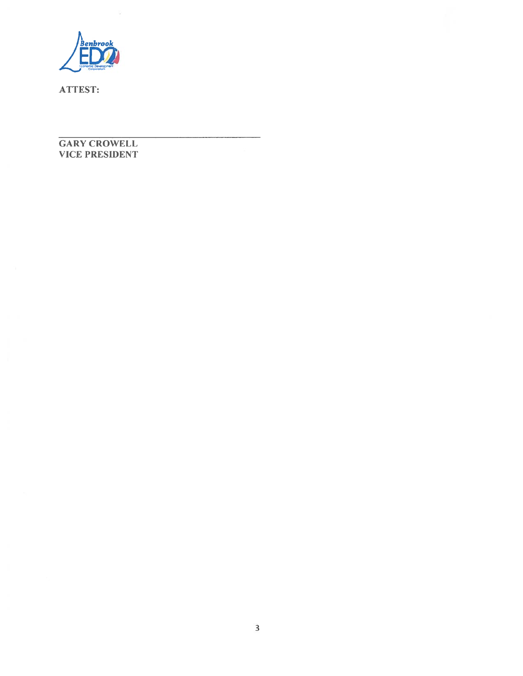

### **GARY CROWELL VICE PRESIDENT**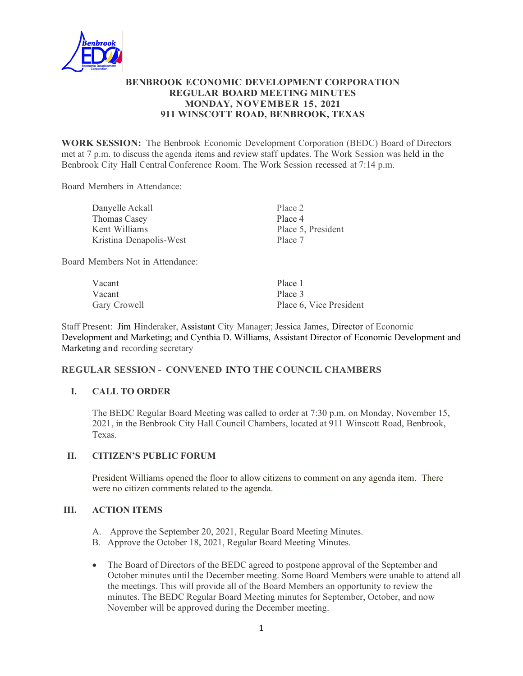

### **BENBROOK ECONOMIC DEVELOPMENT CORPORATION REGULAR BOARD MEETING MINUTES MONDAY, NOVEMBER 15, 2021 911 WINSCOTT ROAD, BENBROOK, TEXAS**

**WORK SESSION:** The Benbrook Economic Development Corporation (BEDC) Board of Directors met at 7 p.m. to discuss the agenda items and review staff updates. The Work Session was held in the Benbrook City Hall Central Conference Room. The Work Session recessed at 7:14 p.m.

Board Members in Attendance:

| Danyelle Ackall         | Place 2            |
|-------------------------|--------------------|
| <b>Thomas Casey</b>     | Place 4            |
| Kent Williams           | Place 5, President |
| Kristina Denapolis-West | Place 7            |

Board Members Not in Attendance:

| Vacant       | Place 1                 |
|--------------|-------------------------|
| Vacant       | Place 3                 |
| Gary Crowell | Place 6, Vice President |

Staff Present: Jim Hinderaker, Assistant City Manager; Jessica James, Director of Economic Development and Marketing; and Cynthia D. Williams, Assistant Director of Economic Development and Marketing and recording secretary

### **REGULAR SESSION - CONVENED INTO THE COUNCIL CHAMBERS**

### **I. CALL TO ORDER**

The BEDC Regular Board Meeting was called to order at 7:30 p.m. on Monday, November 15, 2021, in the Benbrook City Hall Council Chambers, located at 911 Winscott Road, Benbrook, Texas.

### **II. CITIZEN'S PUBLIC FORUM**

President Williams opened the floor to allow citizens to comment on any agenda item. There were no citizen comments related to the agenda.

### **III. ACTION ITEMS**

- A. Approve the September 20, 2021, Regular Board Meeting Minutes.
- B. Approve the October 18, 2021, Regular Board Meeting Minutes.
- The Board of Directors of the BEDC agreed to postpone approval of the September and October minutes until the December meeting. Some Board Members were unable to attend all the meetings. This will provide all of the Board Members an opportunity to review the minutes. The BEDC Regular Board Meeting minutes for September, October, and now November will be approved during the December meeting.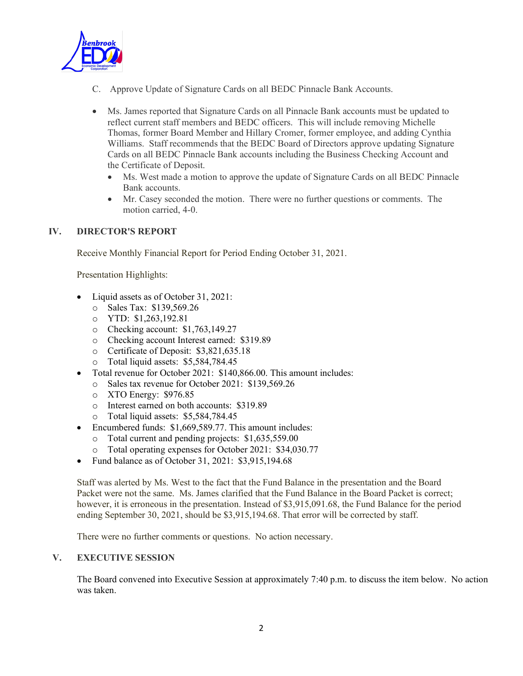

- C. Approve Update of Signature Cards on all BEDC Pinnacle Bank Accounts.
- Ms. James reported that Signature Cards on all Pinnacle Bank accounts must be updated to reflect current staff members and BEDC officers. This will include removing Michelle Thomas, former Board Member and Hillary Cromer, former employee, and adding Cynthia Williams. Staff recommends that the BEDC Board of Directors approve updating Signature Cards on all BEDC Pinnacle Bank accounts including the Business Checking Account and the Certificate of Deposit.
	- Ms. West made a motion to approve the update of Signature Cards on all BEDC Pinnacle Bank accounts.
	- Mr. Casey seconded the motion. There were no further questions or comments. The motion carried, 4-0.

### **IV. DIRECTOR'S REPORT**

Receive Monthly Financial Report for Period Ending October 31, 2021.

Presentation Highlights:

- Liquid assets as of October 31, 2021:
	- o Sales Tax: \$139,569.26
	- o YTD: \$1,263,192.81
	- o Checking account: \$1,763,149.27
	- o Checking account Interest earned: \$319.89
	- o Certificate of Deposit: \$3,821,635.18
	- o Total liquid assets: \$5,584,784.45
- Total revenue for October 2021: \$140,866.00. This amount includes:
	- o Sales tax revenue for October 2021: \$139,569.26
	- o XTO Energy: \$976.85
	- o Interest earned on both accounts: \$319.89
	- o Total liquid assets: \$5,584,784.45
- Encumbered funds: \$1,669,589.77. This amount includes:
	- o Total current and pending projects: \$1,635,559.00
	- o Total operating expenses for October 2021: \$34,030.77
- Fund balance as of October 31, 2021: \$3,915,194.68

Staff was alerted by Ms. West to the fact that the Fund Balance in the presentation and the Board Packet were not the same. Ms. James clarified that the Fund Balance in the Board Packet is correct; however, it is erroneous in the presentation. Instead of \$3,915,091.68, the Fund Balance for the period ending September 30, 2021, should be \$3,915,194.68. That error will be corrected by staff.

There were no further comments or questions. No action necessary.

### **V. EXECUTIVE SESSION**

The Board convened into Executive Session at approximately 7:40 p.m. to discuss the item below. No action was taken.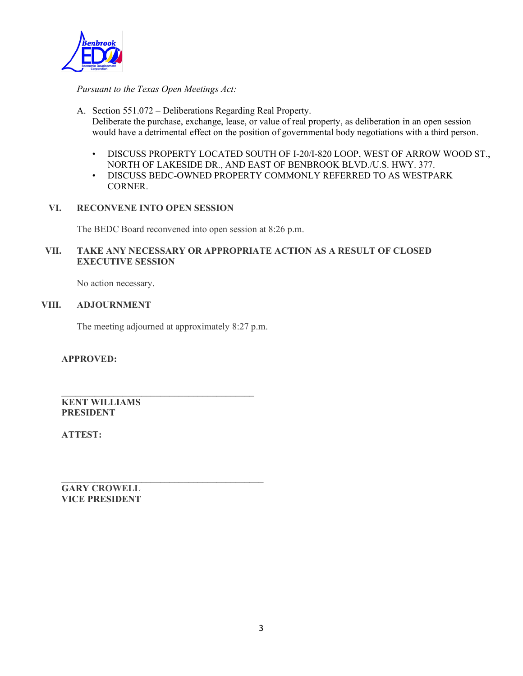

*Pursuant to the Texas Open Meetings Act:*

- A. Section 551.072 Deliberations Regarding Real Property. Deliberate the purchase, exchange, lease, or value of real property, as deliberation in an open session would have a detrimental effect on the position of governmental body negotiations with a third person.
	- DISCUSS PROPERTY LOCATED SOUTH OF I-20/I-820 LOOP, WEST OF ARROW WOOD ST., NORTH OF LAKESIDE DR., AND EAST OF BENBROOK BLVD./U.S. HWY. 377.
	- DISCUSS BEDC-OWNED PROPERTY COMMONLY REFERRED TO AS WESTPARK CORNER.
- **VI. RECONVENE INTO OPEN SESSION**

The BEDC Board reconvened into open session at 8:26 p.m.

### **VII. TAKE ANY NECESSARY OR APPROPRIATE ACTION AS A RESULT OF CLOSED EXECUTIVE SESSION**

No action necessary.

### **VIII. ADJOURNMENT**

The meeting adjourned at approximately 8:27 p.m.

 $\frac{1}{2}$  ,  $\frac{1}{2}$  ,  $\frac{1}{2}$  ,  $\frac{1}{2}$  ,  $\frac{1}{2}$  ,  $\frac{1}{2}$  ,  $\frac{1}{2}$  ,  $\frac{1}{2}$  ,  $\frac{1}{2}$  ,  $\frac{1}{2}$  ,  $\frac{1}{2}$  ,  $\frac{1}{2}$  ,  $\frac{1}{2}$  ,  $\frac{1}{2}$  ,  $\frac{1}{2}$  ,  $\frac{1}{2}$  ,  $\frac{1}{2}$  ,  $\frac{1}{2}$  ,  $\frac{1$ 

**\_\_\_\_\_\_\_\_\_\_\_\_\_\_\_\_\_\_\_\_\_\_\_\_\_\_\_\_\_\_\_\_\_\_\_\_\_\_\_\_\_\_\_**

**APPROVED:**

**KENT WILLIAMS PRESIDENT**

**ATTEST:**

**GARY CROWELL VICE PRESIDENT**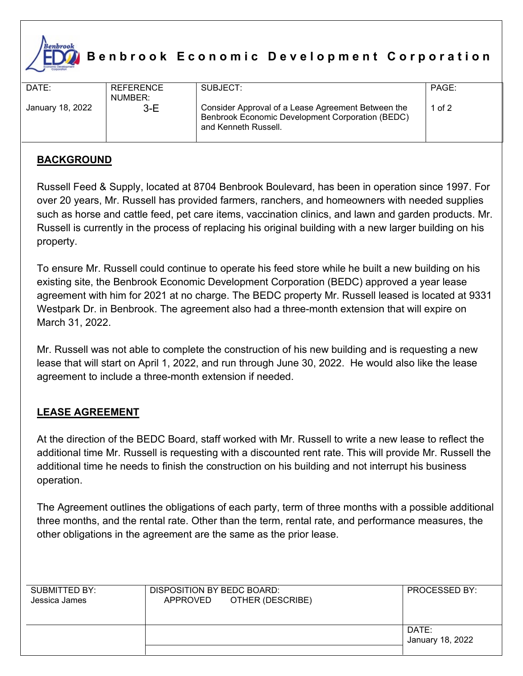

# **Benbrook Economic Development Corporation**

| DATE:            | <b>REFERENCE</b><br>NUMBER: | SUBJECT:                                                                                                                       | PAGE: |
|------------------|-----------------------------|--------------------------------------------------------------------------------------------------------------------------------|-------|
| January 18, 2022 | $3-E$                       | Consider Approval of a Lease Agreement Between the<br>Benbrook Economic Development Corporation (BEDC)<br>and Kenneth Russell. | of 2  |

### **BACKGROUND**

Russell Feed & Supply, located at 8704 Benbrook Boulevard, has been in operation since 1997. For over 20 years, Mr. Russell has provided farmers, ranchers, and homeowners with needed supplies such as horse and cattle feed, pet care items, vaccination clinics, and lawn and garden products. Mr. Russell is currently in the process of replacing his original building with a new larger building on his property.

To ensure Mr. Russell could continue to operate his feed store while he built a new building on his existing site, the Benbrook Economic Development Corporation (BEDC) approved a year lease agreement with him for 2021 at no charge. The BEDC property Mr. Russell leased is located at 9331 Westpark Dr. in Benbrook. The agreement also had a three-month extension that will expire on March 31, 2022.

Mr. Russell was not able to complete the construction of his new building and is requesting a new lease that will start on April 1, 2022, and run through June 30, 2022. He would also like the lease agreement to include a three-month extension if needed.

### **LEASE AGREEMENT**

At the direction of the BEDC Board, staff worked with Mr. Russell to write a new lease to reflect the additional time Mr. Russell is requesting with a discounted rent rate. This will provide Mr. Russell the additional time he needs to finish the construction on his building and not interrupt his business operation.

The Agreement outlines the obligations of each party, term of three months with a possible additional three months, and the rental rate. Other than the term, rental rate, and performance measures, the other obligations in the agreement are the same as the prior lease.

| SUBMITTED BY:<br>Jessica James | DISPOSITION BY BEDC BOARD:<br>OTHER (DESCRIBE)<br>APPROVED | <b>PROCESSED BY:</b>      |
|--------------------------------|------------------------------------------------------------|---------------------------|
|                                |                                                            | DATE:<br>January 18, 2022 |